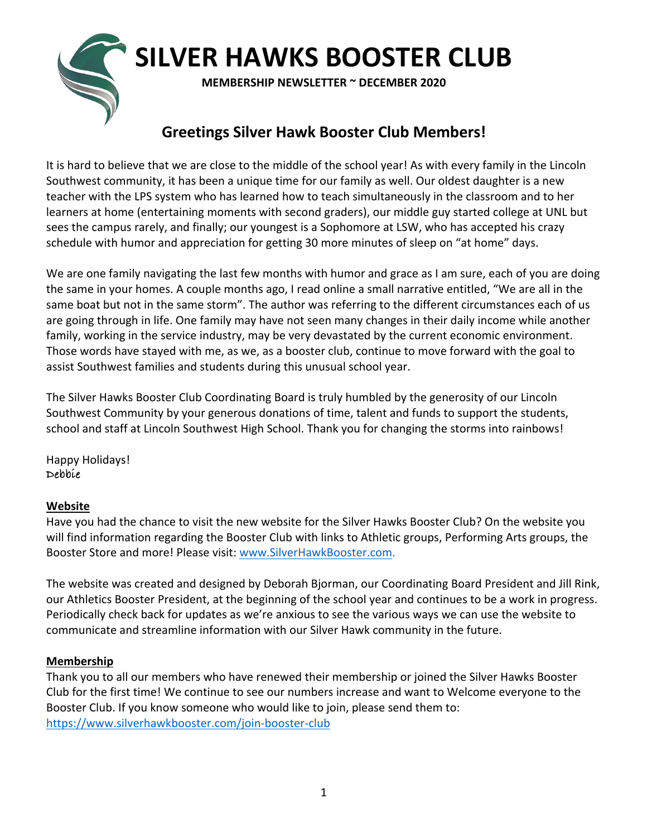# **SILVER HAWKS BOOSTER CLUB MEMBERSHIP NEWSLETTER ~ DECEMBER 2020**

#### **Greetings Silver Hawk Booster Club Members!**

It is hard to believe that we are close to the middle of the school year! As with every family in the Lincoln Southwest community, it has been a unique time for our family as well. Our oldest daughter is a new teacher with the LPS system who has learned how to teach simultaneously in the classroom and to her learners at home (entertaining moments with second graders), our middle guy started college at UNL but sees the campus rarely, and finally; our youngest is a Sophomore at LSW, who has accepted his crazy schedule with humor and appreciation for getting 30 more minutes of sleep on "at home" days.

We are one family navigating the last few months with humor and grace as I am sure, each of you are doing the same in your homes. A couple months ago, I read online a small narrative entitled, "We are all in the same boat but not in the same storm". The author was referring to the different circumstances each of us are going through in life. One family may have not seen many changes in their daily income while another family, working in the service industry, may be very devastated by the current economic environment. Those words have stayed with me, as we, as a booster club, continue to move forward with the goal to assist Southwest families and students during this unusual school year.

The Silver Hawks Booster Club Coordinating Board is truly humbled by the generosity of our Lincoln Southwest Community by your generous donations of time, talent and funds to support the students, school and staff at Lincoln Southwest High School. Thank you for changing the storms into rainbows!

Happy Holidays! **Debbie**

#### **Website**

Have you had the chance to visit the new website for the Silver Hawks Booster Club? On the website you will find information regarding the Booster Club with links to Athletic groups, Performing Arts groups, the Booster Store and more! Please visit: www.SilverHawkBooster.com.

The website was created and designed by Deborah Bjorman, our Coordinating Board President and Jill Rink, our Athletics Booster President, at the beginning of the school year and continues to be a work in progress. Periodically check back for updates as we're anxious to see the various ways we can use the website to communicate and streamline information with our Silver Hawk community in the future.

#### **Membership**

Thank you to all our members who have renewed their membership or joined the Silver Hawks Booster Club for the first time! We continue to see our numbers increase and want to Welcome everyone to the Booster Club. If you know someone who would like to join, please send them to: https://www.silverhawkbooster.com/join-booster-club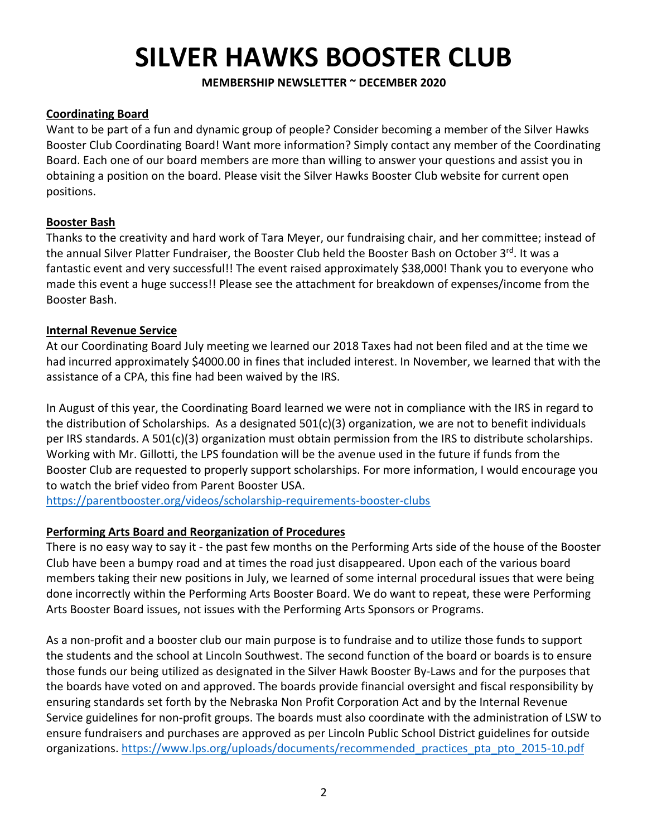#### **MEMBERSHIP NEWSLETTER ~ DECEMBER 2020**

#### **Coordinating Board**

Want to be part of a fun and dynamic group of people? Consider becoming a member of the Silver Hawks Booster Club Coordinating Board! Want more information? Simply contact any member of the Coordinating Board. Each one of our board members are more than willing to answer your questions and assist you in obtaining a position on the board. Please visit the Silver Hawks Booster Club website for current open positions.

#### **Booster Bash**

Thanks to the creativity and hard work of Tara Meyer, our fundraising chair, and her committee; instead of the annual Silver Platter Fundraiser, the Booster Club held the Booster Bash on October 3rd. It was a fantastic event and very successful!! The event raised approximately \$38,000! Thank you to everyone who made this event a huge success!! Please see the attachment for breakdown of expenses/income from the Booster Bash.

#### **Internal Revenue Service**

At our Coordinating Board July meeting we learned our 2018 Taxes had not been filed and at the time we had incurred approximately \$4000.00 in fines that included interest. In November, we learned that with the assistance of a CPA, this fine had been waived by the IRS.

In August of this year, the Coordinating Board learned we were not in compliance with the IRS in regard to the distribution of Scholarships. As a designated  $501(c)(3)$  organization, we are not to benefit individuals per IRS standards. A 501(c)(3) organization must obtain permission from the IRS to distribute scholarships. Working with Mr. Gillotti, the LPS foundation will be the avenue used in the future if funds from the Booster Club are requested to properly support scholarships. For more information, I would encourage you to watch the brief video from Parent Booster USA.

https://parentbooster.org/videos/scholarship-requirements-booster-clubs

#### **Performing Arts Board and Reorganization of Procedures**

There is no easy way to say it - the past few months on the Performing Arts side of the house of the Booster Club have been a bumpy road and at times the road just disappeared. Upon each of the various board members taking their new positions in July, we learned of some internal procedural issues that were being done incorrectly within the Performing Arts Booster Board. We do want to repeat, these were Performing Arts Booster Board issues, not issues with the Performing Arts Sponsors or Programs.

As a non-profit and a booster club our main purpose is to fundraise and to utilize those funds to support the students and the school at Lincoln Southwest. The second function of the board or boards is to ensure those funds our being utilized as designated in the Silver Hawk Booster By-Laws and for the purposes that the boards have voted on and approved. The boards provide financial oversight and fiscal responsibility by ensuring standards set forth by the Nebraska Non Profit Corporation Act and by the Internal Revenue Service guidelines for non-profit groups. The boards must also coordinate with the administration of LSW to ensure fundraisers and purchases are approved as per Lincoln Public School District guidelines for outside organizations. https://www.lps.org/uploads/documents/recommended practices pta pto 2015-10.pdf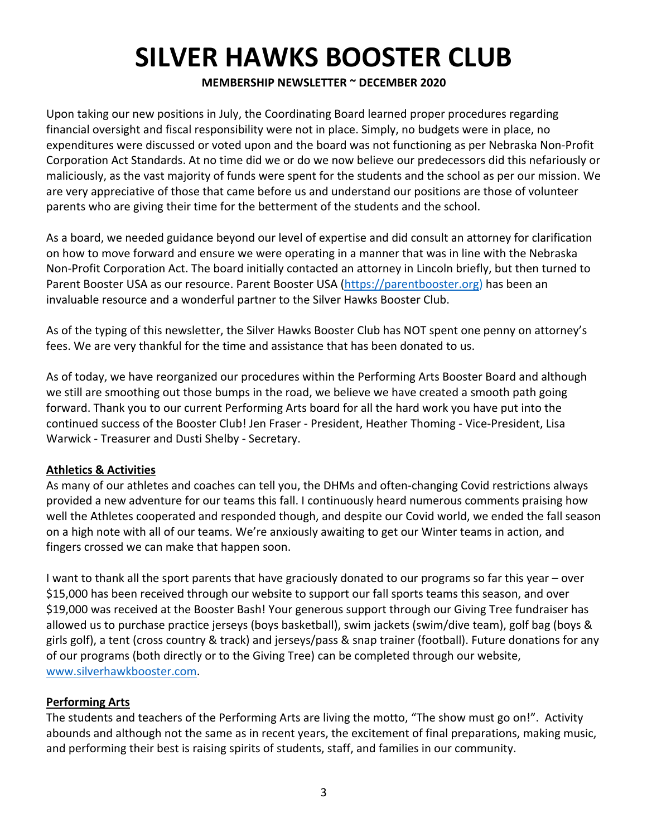#### **MEMBERSHIP NEWSLETTER ~ DECEMBER 2020**

Upon taking our new positions in July, the Coordinating Board learned proper procedures regarding financial oversight and fiscal responsibility were not in place. Simply, no budgets were in place, no expenditures were discussed or voted upon and the board was not functioning as per Nebraska Non-Profit Corporation Act Standards. At no time did we or do we now believe our predecessors did this nefariously or maliciously, as the vast majority of funds were spent for the students and the school as per our mission. We are very appreciative of those that came before us and understand our positions are those of volunteer parents who are giving their time for the betterment of the students and the school.

As a board, we needed guidance beyond our level of expertise and did consult an attorney for clarification on how to move forward and ensure we were operating in a manner that was in line with the Nebraska Non-Profit Corporation Act. The board initially contacted an attorney in Lincoln briefly, but then turned to Parent Booster USA as our resource. Parent Booster USA (https://parentbooster.org) has been an invaluable resource and a wonderful partner to the Silver Hawks Booster Club.

As of the typing of this newsletter, the Silver Hawks Booster Club has NOT spent one penny on attorney's fees. We are very thankful for the time and assistance that has been donated to us.

As of today, we have reorganized our procedures within the Performing Arts Booster Board and although we still are smoothing out those bumps in the road, we believe we have created a smooth path going forward. Thank you to our current Performing Arts board for all the hard work you have put into the continued success of the Booster Club! Jen Fraser - President, Heather Thoming - Vice-President, Lisa Warwick - Treasurer and Dusti Shelby - Secretary.

#### **Athletics & Activities**

As many of our athletes and coaches can tell you, the DHMs and often-changing Covid restrictions always provided a new adventure for our teams this fall. I continuously heard numerous comments praising how well the Athletes cooperated and responded though, and despite our Covid world, we ended the fall season on a high note with all of our teams. We're anxiously awaiting to get our Winter teams in action, and fingers crossed we can make that happen soon.

I want to thank all the sport parents that have graciously donated to our programs so far this year – over \$15,000 has been received through our website to support our fall sports teams this season, and over \$19,000 was received at the Booster Bash! Your generous support through our Giving Tree fundraiser has allowed us to purchase practice jerseys (boys basketball), swim jackets (swim/dive team), golf bag (boys & girls golf), a tent (cross country & track) and jerseys/pass & snap trainer (football). Future donations for any of our programs (both directly or to the Giving Tree) can be completed through our website, www.silverhawkbooster.com.

#### **Performing Arts**

The students and teachers of the Performing Arts are living the motto, "The show must go on!". Activity abounds and although not the same as in recent years, the excitement of final preparations, making music, and performing their best is raising spirits of students, staff, and families in our community.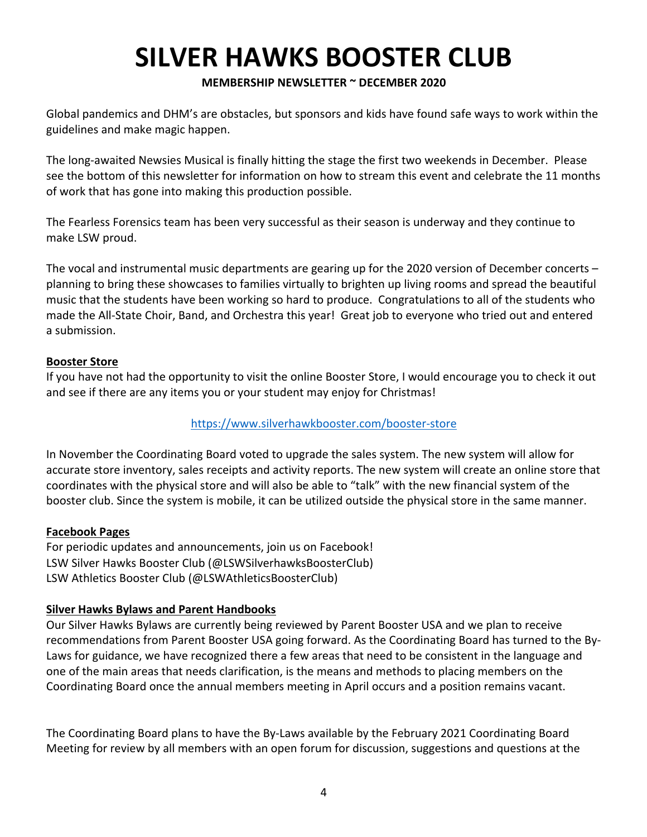#### **MEMBERSHIP NEWSLETTER ~ DECEMBER 2020**

Global pandemics and DHM's are obstacles, but sponsors and kids have found safe ways to work within the guidelines and make magic happen.

The long-awaited Newsies Musical is finally hitting the stage the first two weekends in December. Please see the bottom of this newsletter for information on how to stream this event and celebrate the 11 months of work that has gone into making this production possible.

The Fearless Forensics team has been very successful as their season is underway and they continue to make LSW proud.

The vocal and instrumental music departments are gearing up for the 2020 version of December concerts – planning to bring these showcases to families virtually to brighten up living rooms and spread the beautiful music that the students have been working so hard to produce. Congratulations to all of the students who made the All-State Choir, Band, and Orchestra this year! Great job to everyone who tried out and entered a submission.

#### **Booster Store**

If you have not had the opportunity to visit the online Booster Store, I would encourage you to check it out and see if there are any items you or your student may enjoy for Christmas!

#### https://www.silverhawkbooster.com/booster-store

In November the Coordinating Board voted to upgrade the sales system. The new system will allow for accurate store inventory, sales receipts and activity reports. The new system will create an online store that coordinates with the physical store and will also be able to "talk" with the new financial system of the booster club. Since the system is mobile, it can be utilized outside the physical store in the same manner.

#### **Facebook Pages**

For periodic updates and announcements, join us on Facebook! LSW Silver Hawks Booster Club (@LSWSilverhawksBoosterClub) LSW Athletics Booster Club (@LSWAthleticsBoosterClub)

#### **Silver Hawks Bylaws and Parent Handbooks**

Our Silver Hawks Bylaws are currently being reviewed by Parent Booster USA and we plan to receive recommendations from Parent Booster USA going forward. As the Coordinating Board has turned to the By-Laws for guidance, we have recognized there a few areas that need to be consistent in the language and one of the main areas that needs clarification, is the means and methods to placing members on the Coordinating Board once the annual members meeting in April occurs and a position remains vacant.

The Coordinating Board plans to have the By-Laws available by the February 2021 Coordinating Board Meeting for review by all members with an open forum for discussion, suggestions and questions at the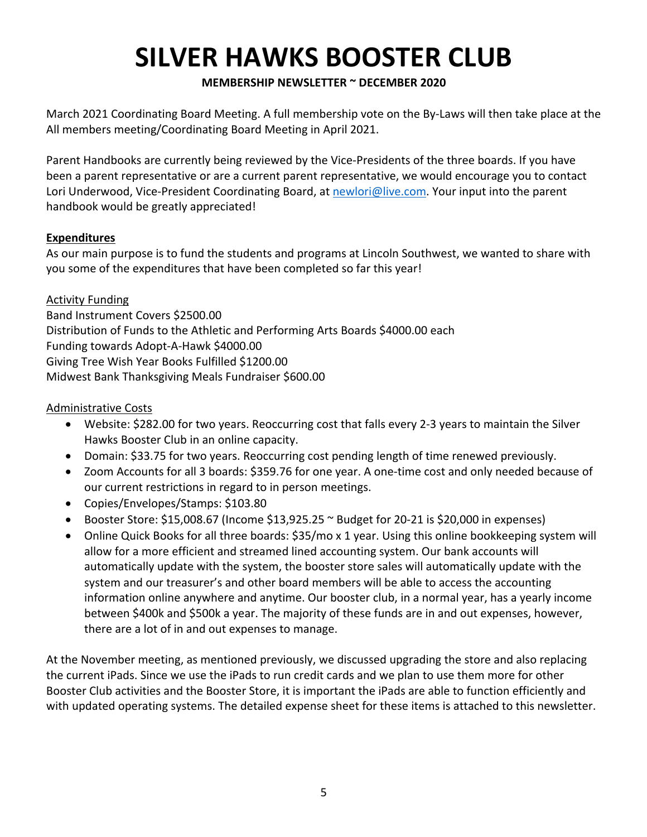#### **MEMBERSHIP NEWSLETTER ~ DECEMBER 2020**

March 2021 Coordinating Board Meeting. A full membership vote on the By-Laws will then take place at the All members meeting/Coordinating Board Meeting in April 2021.

Parent Handbooks are currently being reviewed by the Vice-Presidents of the three boards. If you have been a parent representative or are a current parent representative, we would encourage you to contact Lori Underwood, Vice-President Coordinating Board, at newlori@live.com. Your input into the parent handbook would be greatly appreciated!

#### **Expenditures**

As our main purpose is to fund the students and programs at Lincoln Southwest, we wanted to share with you some of the expenditures that have been completed so far this year!

Activity Funding Band Instrument Covers \$2500.00 Distribution of Funds to the Athletic and Performing Arts Boards \$4000.00 each Funding towards Adopt-A-Hawk \$4000.00 Giving Tree Wish Year Books Fulfilled \$1200.00 Midwest Bank Thanksgiving Meals Fundraiser \$600.00

#### Administrative Costs

- Website: \$282.00 for two years. Reoccurring cost that falls every 2-3 years to maintain the Silver Hawks Booster Club in an online capacity.
- Domain: \$33.75 for two years. Reoccurring cost pending length of time renewed previously.
- Zoom Accounts for all 3 boards: \$359.76 for one year. A one-time cost and only needed because of our current restrictions in regard to in person meetings.
- Copies/Envelopes/Stamps: \$103.80
- Booster Store: \$15,008.67 (Income \$13,925.25 ~ Budget for 20-21 is \$20,000 in expenses)
- Online Quick Books for all three boards: \$35/mo x 1 year. Using this online bookkeeping system will allow for a more efficient and streamed lined accounting system. Our bank accounts will automatically update with the system, the booster store sales will automatically update with the system and our treasurer's and other board members will be able to access the accounting information online anywhere and anytime. Our booster club, in a normal year, has a yearly income between \$400k and \$500k a year. The majority of these funds are in and out expenses, however, there are a lot of in and out expenses to manage.

At the November meeting, as mentioned previously, we discussed upgrading the store and also replacing the current iPads. Since we use the iPads to run credit cards and we plan to use them more for other Booster Club activities and the Booster Store, it is important the iPads are able to function efficiently and with updated operating systems. The detailed expense sheet for these items is attached to this newsletter.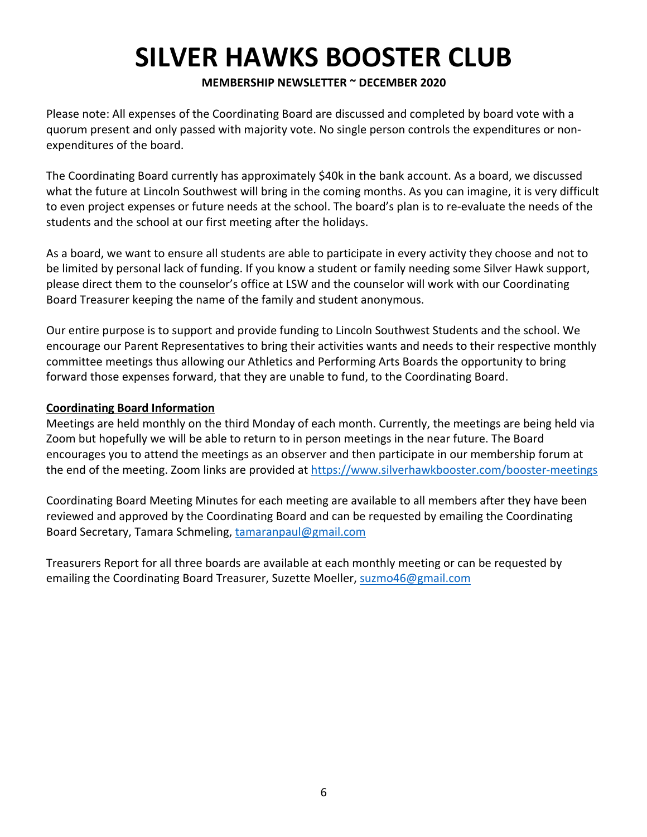#### **MEMBERSHIP NEWSLETTER ~ DECEMBER 2020**

Please note: All expenses of the Coordinating Board are discussed and completed by board vote with a quorum present and only passed with majority vote. No single person controls the expenditures or nonexpenditures of the board.

The Coordinating Board currently has approximately \$40k in the bank account. As a board, we discussed what the future at Lincoln Southwest will bring in the coming months. As you can imagine, it is very difficult to even project expenses or future needs at the school. The board's plan is to re-evaluate the needs of the students and the school at our first meeting after the holidays.

As a board, we want to ensure all students are able to participate in every activity they choose and not to be limited by personal lack of funding. If you know a student or family needing some Silver Hawk support, please direct them to the counselor's office at LSW and the counselor will work with our Coordinating Board Treasurer keeping the name of the family and student anonymous.

Our entire purpose is to support and provide funding to Lincoln Southwest Students and the school. We encourage our Parent Representatives to bring their activities wants and needs to their respective monthly committee meetings thus allowing our Athletics and Performing Arts Boards the opportunity to bring forward those expenses forward, that they are unable to fund, to the Coordinating Board.

#### **Coordinating Board Information**

Meetings are held monthly on the third Monday of each month. Currently, the meetings are being held via Zoom but hopefully we will be able to return to in person meetings in the near future. The Board encourages you to attend the meetings as an observer and then participate in our membership forum at the end of the meeting. Zoom links are provided at https://www.silverhawkbooster.com/booster-meetings

Coordinating Board Meeting Minutes for each meeting are available to all members after they have been reviewed and approved by the Coordinating Board and can be requested by emailing the Coordinating Board Secretary, Tamara Schmeling, tamaranpaul@gmail.com

Treasurers Report for all three boards are available at each monthly meeting or can be requested by emailing the Coordinating Board Treasurer, Suzette Moeller, suzmo46@gmail.com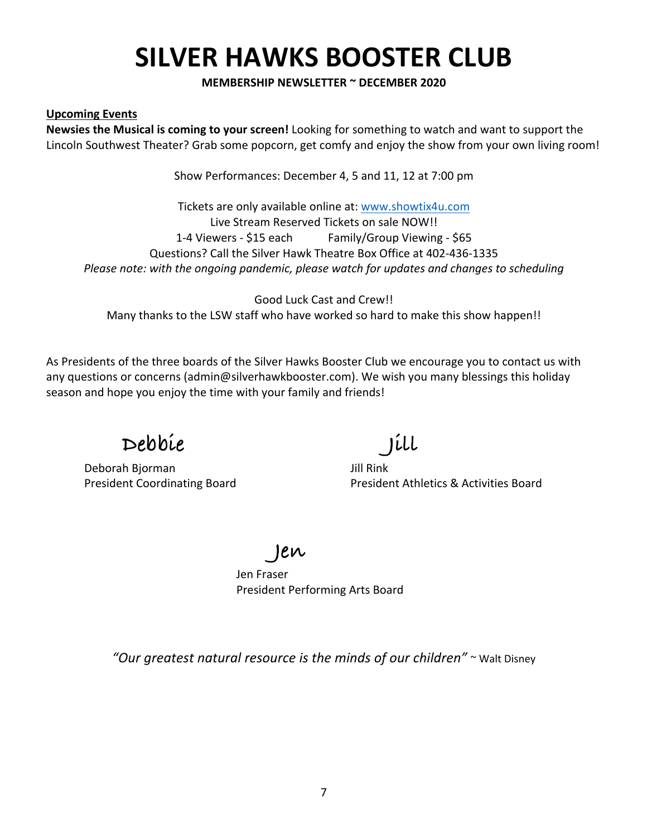**MEMBERSHIP NEWSLETTER ~ DECEMBER 2020**

#### **Upcoming Events**

**Newsies the Musical is coming to your screen!** Looking for something to watch and want to support the Lincoln Southwest Theater? Grab some popcorn, get comfy and enjoy the show from your own living room!

Show Performances: December 4, 5 and 11, 12 at 7:00 pm

Tickets are only available online at: www.showtix4u.com Live Stream Reserved Tickets on sale NOW!! 1-4 Viewers - \$15 each Family/Group Viewing - \$65 Questions? Call the Silver Hawk Theatre Box Office at 402-436-1335 *Please note: with the ongoing pandemic, please watch for updates and changes to scheduling*

Good Luck Cast and Crew!! Many thanks to the LSW staff who have worked so hard to make this show happen!!

As Presidents of the three boards of the Silver Hawks Booster Club we encourage you to contact us with any questions or concerns (admin@silverhawkbooster.com). We wish you many blessings this holiday season and hope you enjoy the time with your family and friends!

### **Debbie Jill**

Deborah Bjorman Jill Rink

President Coordinating Board President Athletics & Activities Board

**Jen**

Jen Fraser President Performing Arts Board

*"Our greatest natural resource is the minds of our children"* ~ Walt Disney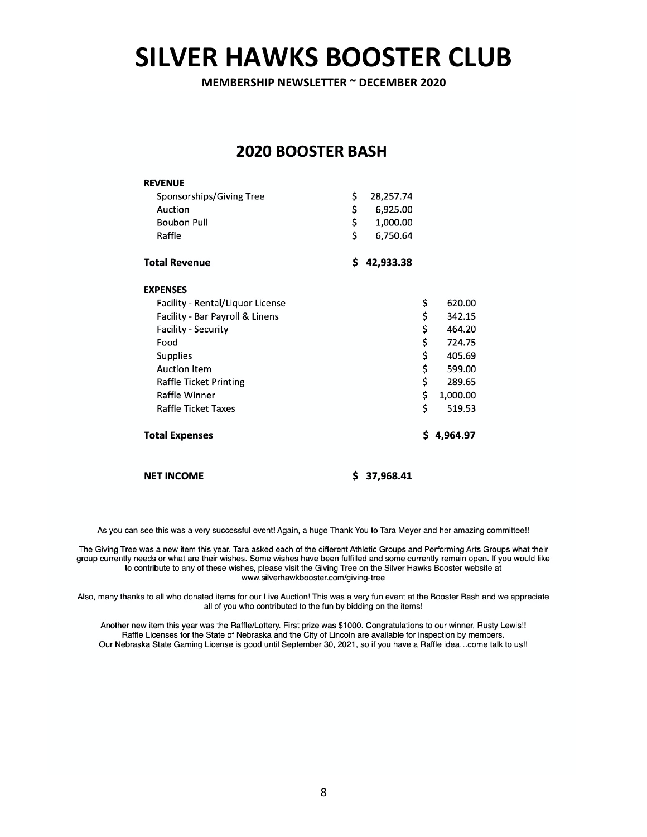**MEMBERSHIP NEWSLETTER ~ DECEMBER 2020**

#### **2020 BOOSTER BASH**

| <b>REVENUE</b>                   |                 |    |          |
|----------------------------------|-----------------|----|----------|
| Sponsorships/Giving Tree         | \$<br>28,257.74 |    |          |
| Auction                          | \$<br>6,925.00  |    |          |
| <b>Boubon Pull</b>               | \$<br>1,000.00  |    |          |
| Raffle                           | \$<br>6,750.64  |    |          |
| <b>Total Revenue</b>             | \$<br>42,933.38 |    |          |
| <b>EXPENSES</b>                  |                 |    |          |
| Facility - Rental/Liquor License |                 | \$ | 620.00   |
| Facility - Bar Payroll & Linens  |                 | \$ | 342.15   |
| <b>Facility - Security</b>       |                 | \$ | 464.20   |
| Food                             |                 | \$ | 724.75   |
| Supplies                         |                 | \$ | 405.69   |
| <b>Auction Item</b>              |                 | \$ | 599.00   |
| <b>Raffle Ticket Printing</b>    |                 | \$ | 289.65   |
| Raffle Winner                    |                 | \$ | 1,000.00 |
| <b>Raffle Ticket Taxes</b>       |                 | \$ | 519.53   |
| <b>Total Expenses</b>            |                 | Ś  | 4,964.97 |
|                                  |                 |    |          |

**NET INCOME** 

 $$37,968.41$ 

As you can see this was a very successful event! Again, a huge Thank You to Tara Meyer and her amazing committee!!

The Giving Tree was a new item this year. Tara asked each of the different Athletic Groups and Performing Arts Groups what their group currently needs or what are their wishes. Some wishes have been fulfilled and some currently remain open. If you would like to contribute to any of these wishes, please visit the Giving Tree on the Silver Hawks Booster website at www.silverhawkbooster.com/giving-tree

Also, many thanks to all who donated items for our Live Auction! This was a very fun event at the Booster Bash and we appreciate all of you who contributed to the fun by bidding on the items!

Another new item this year was the Raffle/Lottery. First prize was \$1000. Congratulations to our winner, Rusty Lewis!! Raffle Licenses for the State of Nebraska and the City of Lincoln are available for inspection by members. Our Nebraska State Gaming License is good until September 30, 2021, so if you have a Raffle idea...come talk to us!!